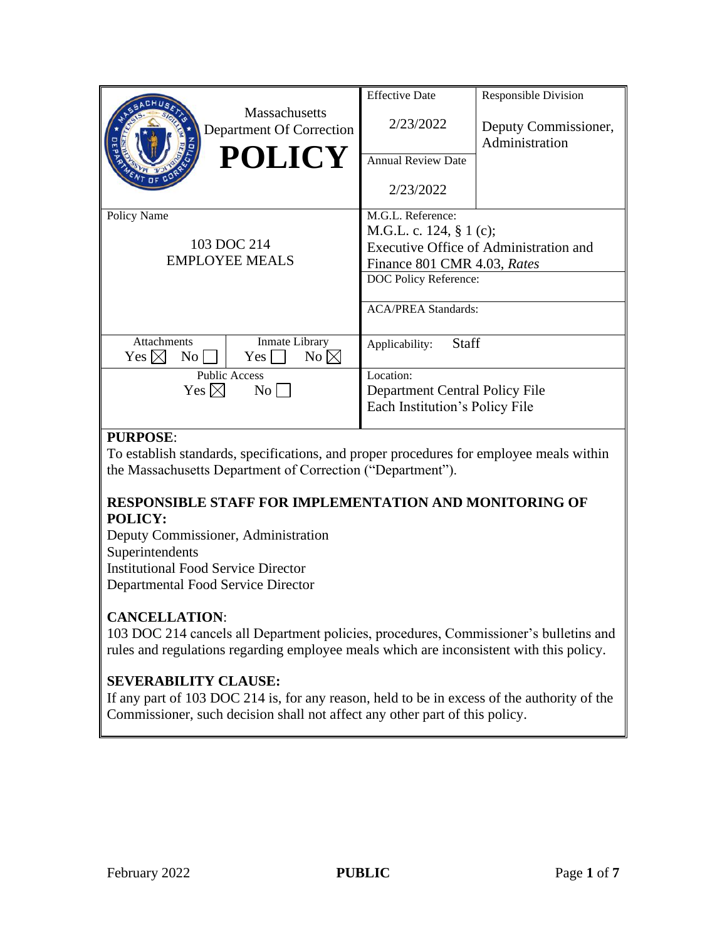| <b>Massachusetts</b><br>Department Of Correction<br><b>POLICY</b>                                              | <b>Effective Date</b><br>2/23/2022<br><b>Annual Review Date</b><br>2/23/2022                                                       | Responsible Division<br>Deputy Commissioner,<br>Administration |
|----------------------------------------------------------------------------------------------------------------|------------------------------------------------------------------------------------------------------------------------------------|----------------------------------------------------------------|
| Policy Name<br>103 DOC 214<br><b>EMPLOYEE MEALS</b>                                                            | M.G.L. Reference:<br>M.G.L. c. 124, § 1 (c);<br>Finance 801 CMR 4.03, Rates<br>DOC Policy Reference:<br><b>ACA/PREA Standards:</b> | Executive Office of Administration and                         |
| <b>Attachments</b><br>Inmate Library<br>$No \boxtimes$<br>$\overline{N_{O}}$<br>Yes <br>Yes $ \!\!\times\!\! $ | <b>Staff</b><br>Applicability:                                                                                                     |                                                                |
| <b>Public Access</b><br>Yes $\boxtimes$<br>No l                                                                | Location:<br>Department Central Policy File<br>Each Institution's Policy File                                                      |                                                                |

# **PURPOSE**:

To establish standards, specifications, and proper procedures for employee meals within the Massachusetts Department of Correction ("Department").

# **RESPONSIBLE STAFF FOR IMPLEMENTATION AND MONITORING OF POLICY:**

Deputy Commissioner, Administration Superintendents Institutional Food Service Director Departmental Food Service Director

# **CANCELLATION**:

103 DOC 214 cancels all Department policies, procedures, Commissioner's bulletins and rules and regulations regarding employee meals which are inconsistent with this policy.

# **SEVERABILITY CLAUSE:**

If any part of 103 DOC 214 is, for any reason, held to be in excess of the authority of the Commissioner, such decision shall not affect any other part of this policy.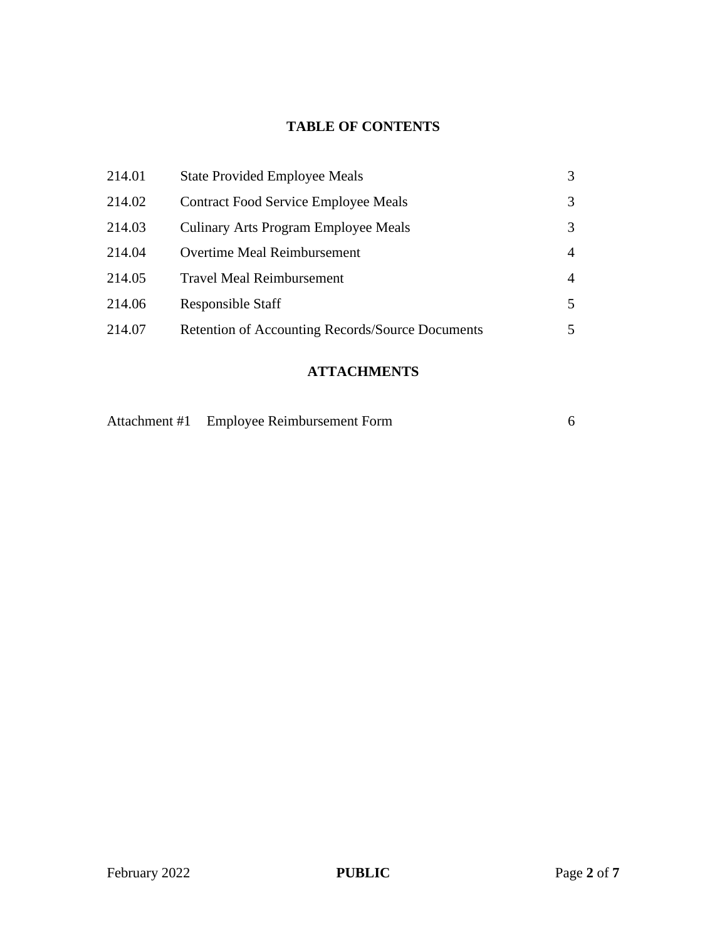# **TABLE OF CONTENTS**

| 214.01 | <b>State Provided Employee Meals</b>             | 3 |
|--------|--------------------------------------------------|---|
| 214.02 | <b>Contract Food Service Employee Meals</b>      | 3 |
| 214.03 | Culinary Arts Program Employee Meals             | 3 |
| 214.04 | <b>Overtime Meal Reimbursement</b>               | 4 |
| 214.05 | <b>Travel Meal Reimbursement</b>                 | 4 |
| 214.06 | Responsible Staff                                | 5 |
| 214.07 | Retention of Accounting Records/Source Documents | 5 |
|        |                                                  |   |

# **ATTACHMENTS**

| Attachment #1 Employee Reimbursement Form |  |
|-------------------------------------------|--|
|                                           |  |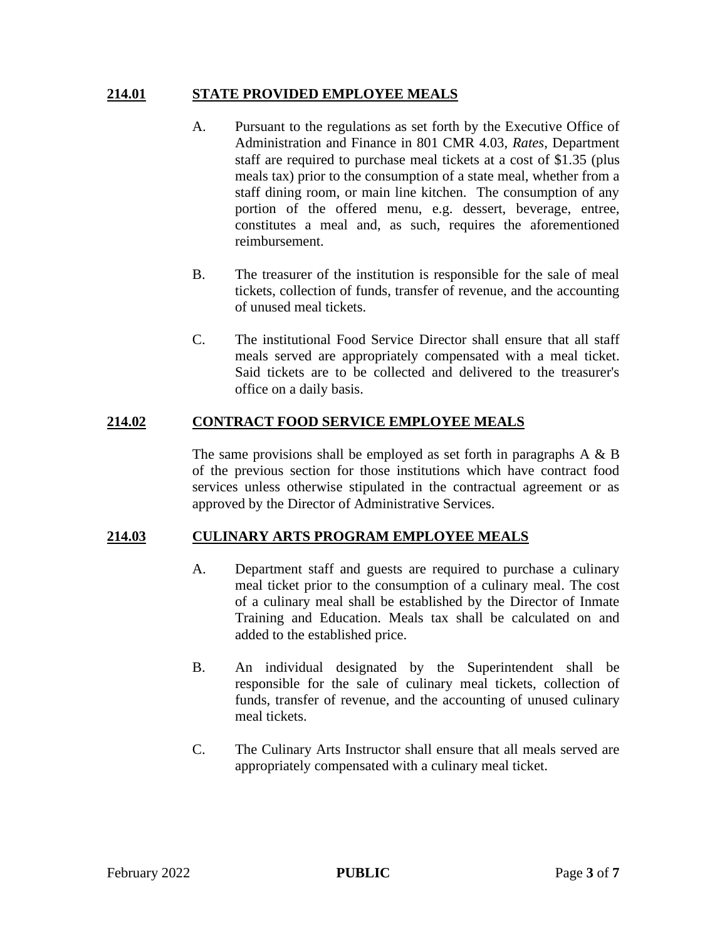### **214.01 STATE PROVIDED EMPLOYEE MEALS**

- A. Pursuant to the regulations as set forth by the Executive Office of Administration and Finance in 801 CMR 4.03, *Rates*, Department staff are required to purchase meal tickets at a cost of \$1.35 (plus meals tax) prior to the consumption of a state meal, whether from a staff dining room, or main line kitchen. The consumption of any portion of the offered menu, e.g. dessert, beverage, entree, constitutes a meal and, as such, requires the aforementioned reimbursement.
- B. The treasurer of the institution is responsible for the sale of meal tickets, collection of funds, transfer of revenue, and the accounting of unused meal tickets.
- C. The institutional Food Service Director shall ensure that all staff meals served are appropriately compensated with a meal ticket. Said tickets are to be collected and delivered to the treasurer's office on a daily basis.

## **214.02 CONTRACT FOOD SERVICE EMPLOYEE MEALS**

The same provisions shall be employed as set forth in paragraphs  $A \& B$ of the previous section for those institutions which have contract food services unless otherwise stipulated in the contractual agreement or as approved by the Director of Administrative Services.

## **214.03 CULINARY ARTS PROGRAM EMPLOYEE MEALS**

- A. Department staff and guests are required to purchase a culinary meal ticket prior to the consumption of a culinary meal. The cost of a culinary meal shall be established by the Director of Inmate Training and Education. Meals tax shall be calculated on and added to the established price.
- B. An individual designated by the Superintendent shall be responsible for the sale of culinary meal tickets, collection of funds, transfer of revenue, and the accounting of unused culinary meal tickets.
- C. The Culinary Arts Instructor shall ensure that all meals served are appropriately compensated with a culinary meal ticket.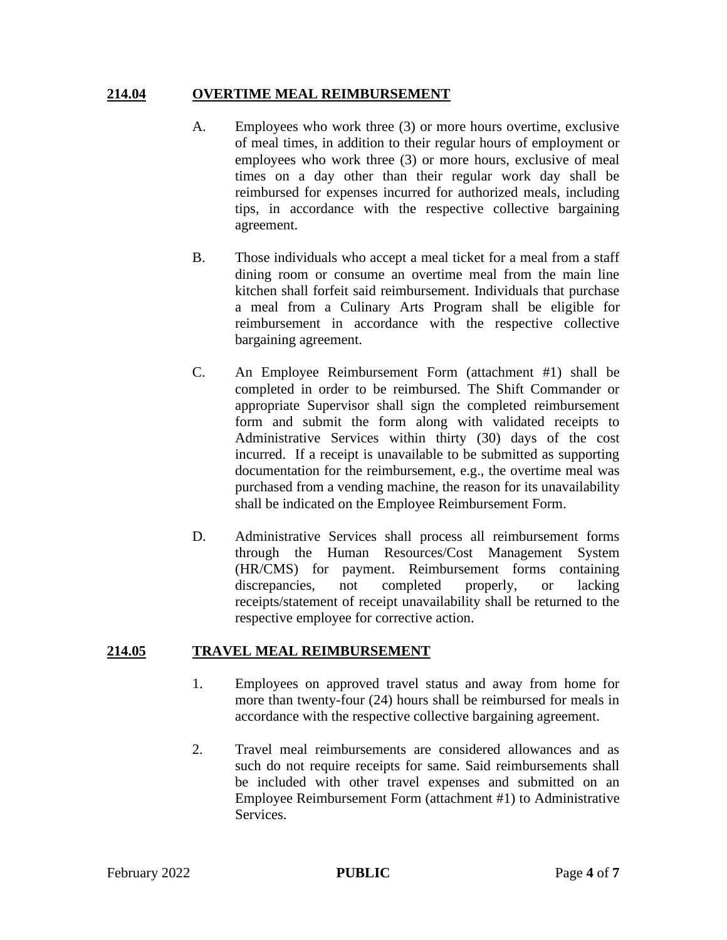#### **214.04 OVERTIME MEAL REIMBURSEMENT**

- A. Employees who work three (3) or more hours overtime, exclusive of meal times, in addition to their regular hours of employment or employees who work three (3) or more hours, exclusive of meal times on a day other than their regular work day shall be reimbursed for expenses incurred for authorized meals, including tips, in accordance with the respective collective bargaining agreement.
- B. Those individuals who accept a meal ticket for a meal from a staff dining room or consume an overtime meal from the main line kitchen shall forfeit said reimbursement. Individuals that purchase a meal from a Culinary Arts Program shall be eligible for reimbursement in accordance with the respective collective bargaining agreement.
- C. An Employee Reimbursement Form (attachment #1) shall be completed in order to be reimbursed. The Shift Commander or appropriate Supervisor shall sign the completed reimbursement form and submit the form along with validated receipts to Administrative Services within thirty (30) days of the cost incurred. If a receipt is unavailable to be submitted as supporting documentation for the reimbursement, e.g., the overtime meal was purchased from a vending machine, the reason for its unavailability shall be indicated on the Employee Reimbursement Form.
- D. Administrative Services shall process all reimbursement forms through the Human Resources/Cost Management System (HR/CMS) for payment. Reimbursement forms containing discrepancies, not completed properly, or lacking receipts/statement of receipt unavailability shall be returned to the respective employee for corrective action.

#### **214.05 TRAVEL MEAL REIMBURSEMENT**

- 1. Employees on approved travel status and away from home for more than twenty-four (24) hours shall be reimbursed for meals in accordance with the respective collective bargaining agreement.
- 2. Travel meal reimbursements are considered allowances and as such do not require receipts for same. Said reimbursements shall be included with other travel expenses and submitted on an Employee Reimbursement Form (attachment #1) to Administrative Services.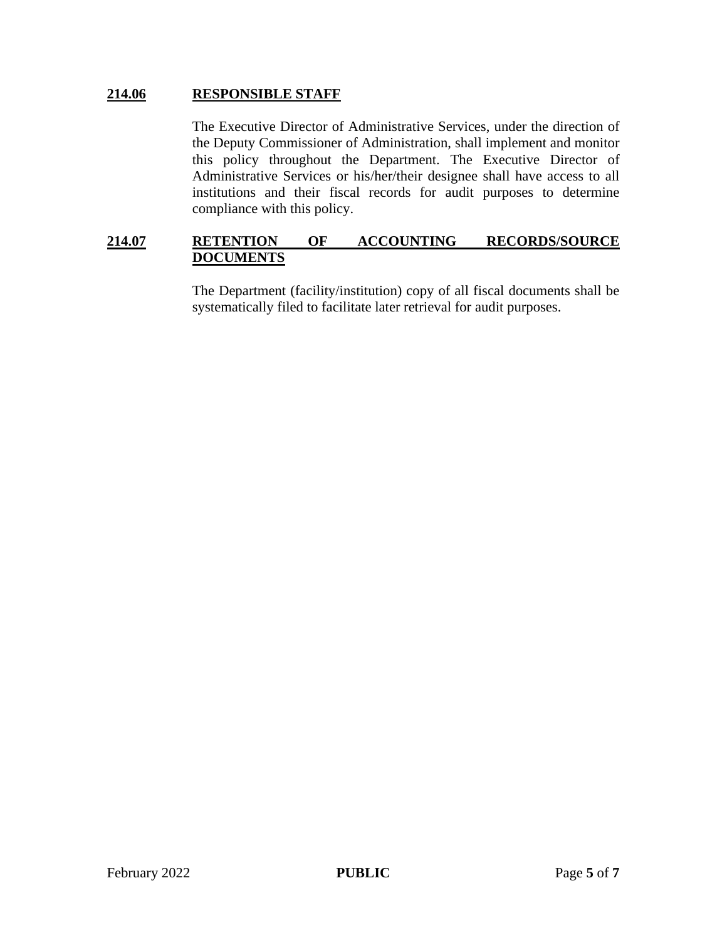### **214.06 RESPONSIBLE STAFF**

The Executive Director of Administrative Services, under the direction of the Deputy Commissioner of Administration, shall implement and monitor this policy throughout the Department. The Executive Director of Administrative Services or his/her/their designee shall have access to all institutions and their fiscal records for audit purposes to determine compliance with this policy.

### **214.07 RETENTION OF ACCOUNTING RECORDS/SOURCE DOCUMENTS**

The Department (facility/institution) copy of all fiscal documents shall be systematically filed to facilitate later retrieval for audit purposes.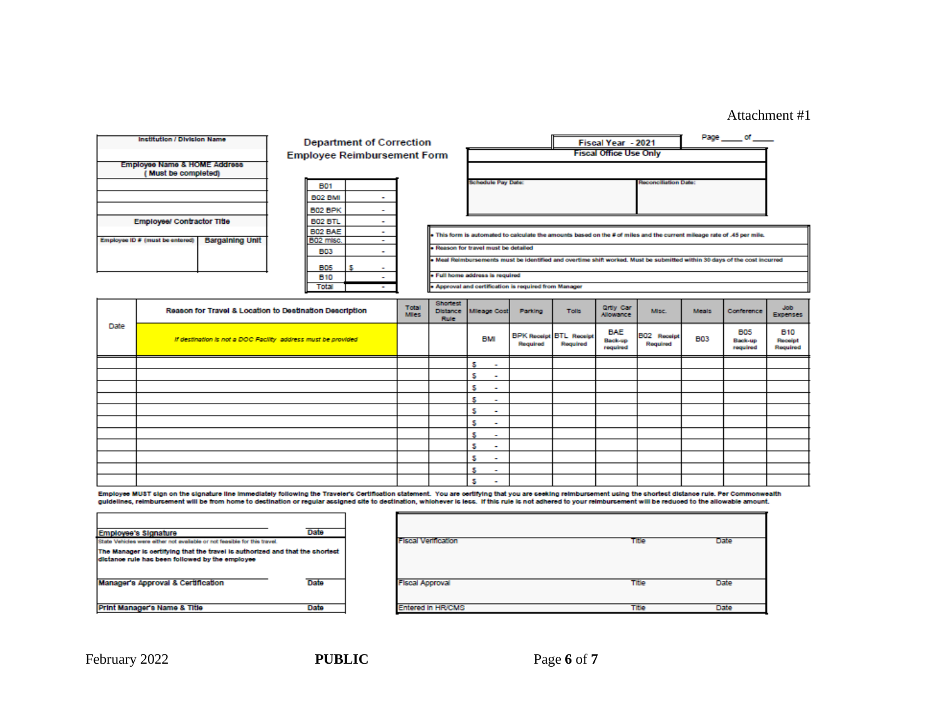### Attachment #1

|      | Institution / Division Name                                    | <b>Department of Correction</b> |                          |                                    |                      |                                |                                      |                                                       |                                            | Fiscal Year - 2021                |                             |            | Page of                                                                                                                 |                                   |
|------|----------------------------------------------------------------|---------------------------------|--------------------------|------------------------------------|----------------------|--------------------------------|--------------------------------------|-------------------------------------------------------|--------------------------------------------|-----------------------------------|-----------------------------|------------|-------------------------------------------------------------------------------------------------------------------------|-----------------------------------|
|      |                                                                |                                 |                          | <b>Employee Reimbursement Form</b> |                      |                                |                                      |                                                       |                                            | <b>Fiscal Office Use Only</b>     |                             |            |                                                                                                                         |                                   |
|      | <b>Employee Name &amp; HOME Address</b><br>(Must be completed) |                                 |                          |                                    |                      |                                |                                      |                                                       |                                            |                                   |                             |            |                                                                                                                         |                                   |
|      |                                                                |                                 | <b>B01</b>               |                                    |                      |                                | <b>Schedule Pay Date:</b>            |                                                       |                                            |                                   | <b>Reconciliation Date:</b> |            |                                                                                                                         |                                   |
|      |                                                                |                                 | <b>B02 BMI</b>           | ۰                                  |                      |                                |                                      |                                                       |                                            |                                   |                             |            |                                                                                                                         |                                   |
|      |                                                                |                                 | B02 BPK                  | $\overline{\phantom{a}}$           |                      |                                |                                      |                                                       |                                            |                                   |                             |            |                                                                                                                         |                                   |
|      | Employee/ Contractor Title                                     |                                 | <b>B02 BTL</b>           | ÷                                  |                      |                                |                                      |                                                       |                                            |                                   |                             |            |                                                                                                                         |                                   |
|      | <b>Bargaining Unit</b><br>Employee ID # (must be entered)      |                                 | B02 BAE<br>B02 misc.     | ÷<br>$\sim$                        |                      |                                |                                      |                                                       |                                            |                                   |                             |            | . This form is automated to calculate the amounts based on the # of miles and the current mileage rate of .45 per mile. |                                   |
|      |                                                                |                                 | <b>B03</b>               | ۰                                  |                      |                                | . Reason for travel must be detailed |                                                       |                                            |                                   |                             |            |                                                                                                                         |                                   |
|      |                                                                |                                 |                          |                                    |                      |                                |                                      |                                                       |                                            |                                   |                             |            | Meal Reimbursements must be identified and overtime shift worked. Must be submitted within 30 days of the cost incurred |                                   |
|      |                                                                |                                 | <b>B05</b><br><b>B10</b> | $\sim$<br>$\overline{\phantom{a}}$ |                      |                                | · Full home address is required      |                                                       |                                            |                                   |                             |            |                                                                                                                         |                                   |
|      |                                                                |                                 | Total                    | ÷                                  |                      |                                |                                      | . Approval and certification is required from Manager |                                            |                                   |                             |            |                                                                                                                         |                                   |
|      |                                                                |                                 |                          |                                    |                      | <b>Shortest</b>                |                                      |                                                       |                                            |                                   |                             |            |                                                                                                                         |                                   |
|      | Reason for Travel & Location to Destination Description        |                                 |                          |                                    | Total<br><b>Mies</b> | <b>Distance</b><br><b>Rule</b> | Micage Cost                          | Parking                                               | <b>Tolls</b>                               | <b>Qrtly Car</b><br>Allowance     | Misc.                       | Meals:     | Conference                                                                                                              | Job.<br><b>Expenses</b>           |
| Date | If destination is not a DOC Facility address must be provided  |                                 |                          |                                    |                      |                                | <b>BMI</b>                           | Required                                              | <b>BPK Receipt BTL Receipt</b><br>Required | <b>BAE</b><br>Back-up<br>required | B02 Receipt<br>Reguired     | <b>B03</b> | <b>B05</b><br>Back-up<br>required                                                                                       | <b>B10</b><br>Receipt<br>Required |
|      |                                                                |                                 |                          |                                    |                      |                                | s<br>٠                               |                                                       |                                            |                                   |                             |            |                                                                                                                         |                                   |
|      |                                                                |                                 |                          |                                    |                      |                                | s<br>۰                               |                                                       |                                            |                                   |                             |            |                                                                                                                         |                                   |
|      |                                                                |                                 |                          |                                    |                      |                                | s<br>۰                               |                                                       |                                            |                                   |                             |            |                                                                                                                         |                                   |
|      |                                                                |                                 |                          |                                    |                      |                                | s<br>۰                               |                                                       |                                            |                                   |                             |            |                                                                                                                         |                                   |
|      |                                                                |                                 |                          |                                    |                      |                                | s<br>۰                               |                                                       |                                            |                                   |                             |            |                                                                                                                         |                                   |
|      |                                                                |                                 |                          |                                    |                      |                                | s<br>۰                               |                                                       |                                            |                                   |                             |            |                                                                                                                         |                                   |
|      |                                                                |                                 |                          |                                    |                      |                                | s<br>۰                               |                                                       |                                            |                                   |                             |            |                                                                                                                         |                                   |
|      |                                                                |                                 |                          |                                    |                      |                                | s<br>٠                               |                                                       |                                            |                                   |                             |            |                                                                                                                         |                                   |
|      |                                                                |                                 |                          |                                    |                      |                                | s<br>۰                               |                                                       |                                            |                                   |                             |            |                                                                                                                         |                                   |
|      |                                                                |                                 |                          |                                    |                      |                                | s<br>۰                               |                                                       |                                            |                                   |                             |            |                                                                                                                         |                                   |
|      |                                                                |                                 |                          |                                    |                      |                                | s<br>۰                               |                                                       |                                            |                                   |                             |            |                                                                                                                         |                                   |

Employee MUST sign on the signature line immediately following the Traveler's Certification statement. You are certifying that you are seeking reimbursement using the shortest distance rule. Per Commonwealth<br>guidelines, re

| Employee's Signature                                                                                                             | Date |
|----------------------------------------------------------------------------------------------------------------------------------|------|
| State Vehicles were either not available or not feasible for this travel.                                                        |      |
| The Manager is certifying that the travel is authorized and that the shortest<br>dictance rule has been followed by the employee |      |
| Manager's Approval & Certification                                                                                               | Date |
| Print Manager's Name & Title                                                                                                     | Data |

| <b>Fiscal Verification</b> | Title | <b>Date</b> |
|----------------------------|-------|-------------|
|                            |       |             |
| <b>Fiscal Approval</b>     | Title | Date        |
| <b>Entered In HR/CMS</b>   | Title | Date        |